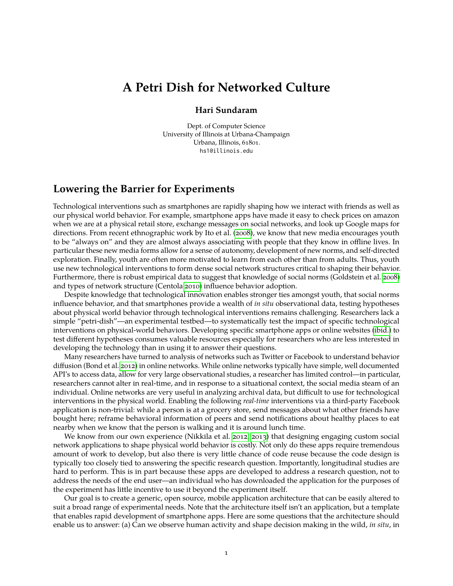## **A Petri Dish for Networked Culture**

## **Hari Sundaram**

Dept. of Computer Science University of Illinois at Urbana-Champaign Urbana, Illinois, 61801. hs1@illinois.edu

## **Lowering the Barrier for Experiments**

Technological interventions such as smartphones are rapidly shaping how we interact with friends as well as our physical world behavior. For example, smartphone apps have made it easy to check prices on amazon when we are at a physical retail store, exchange messages on social networks, and look up Google maps for directions. From recent ethnographic work by Ito et al. [\(2008\)](#page-1-0), we know that new media encourages youth to be "always on" and they are almost always associating with people that they know in offline lives. In particular these new media forms allow for a sense of autonomy, development of new norms, and self-directed exploration. Finally, youth are often more motivated to learn from each other than from adults. Thus, youth use new technological interventions to form dense social network structures critical to shaping their behavior. Furthermore, there is robust empirical data to suggest that knowledge of social norms (Goldstein et al. [2008\)](#page-1-1) and types of network structure (Centola [2010\)](#page-1-2) influence behavior adoption.

Despite knowledge that technological innovation enables stronger ties amongst youth, that social norms influence behavior, and that smartphones provide a wealth of *in situ* observational data, testing hypotheses about physical world behavior through technological interventions remains challenging. Researchers lack a simple "petri-dish"—an experimental testbed—to systematically test the impact of specific technological interventions on physical-world behaviors. Developing specific smartphone apps or online websites [\(ibid.\)](#page-1-2) to test different hypotheses consumes valuable resources especially for researchers who are less interested in developing the technology than in using it to answer their questions.

Many researchers have turned to analysis of networks such as Twitter or Facebook to understand behavior diffusion (Bond et al. [2012\)](#page-1-3) in online networks. While online networks typically have simple, well documented API's to access data, allow for very large observational studies, a researcher has limited control—in particular, researchers cannot alter in real-time, and in response to a situational context, the social media steam of an individual. Online networks are very useful in analyzing archival data, but difficult to use for technological interventions in the physical world. Enabling the following *real-time* interventions via a third-party Facebook application is non-trivial: while a person is at a grocery store, send messages about what other friends have bought here; reframe behavioral information of peers and send notifications about healthy places to eat nearby when we know that the person is walking and it is around lunch time.

We know from our own experience (Nikkila et al. [2012,](#page-1-4) [2013\)](#page-1-5) that designing engaging custom social network applications to shape physical world behavior is costly. Not only do these apps require tremendous amount of work to develop, but also there is very little chance of code reuse because the code design is typically too closely tied to answering the specific research question. Importantly, longitudinal studies are hard to perform. This is in part because these apps are developed to address a research question, not to address the needs of the end user—an individual who has downloaded the application for the purposes of the experiment has little incentive to use it beyond the experiment itself.

Our goal is to create a generic, open source, mobile application architecture that can be easily altered to suit a broad range of experimental needs. Note that the architecture itself isn't an application, but a template that enables rapid development of smartphone apps. Here are some questions that the architecture should enable us to answer: (a) Can we observe human activity and shape decision making in the wild, *in situ*, in